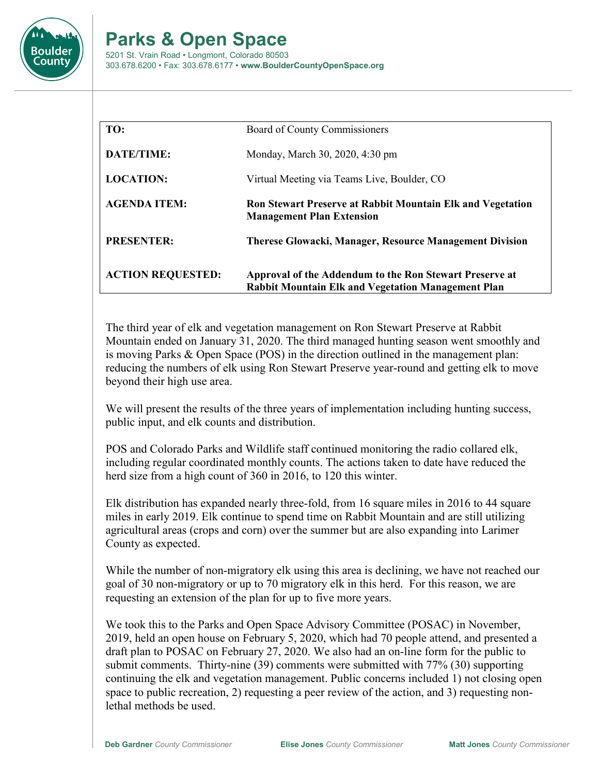

## **Parks & Open Space**

5201 St. Vrain Road • Longmont, Colorado 80503 303.678.6200 • Fax: 303.678.6177 • **www.BoulderCountyOpenSpace.org**

| TO:                      | Board of County Commissioners                                                                                        |
|--------------------------|----------------------------------------------------------------------------------------------------------------------|
| DATE/TIME:               | Monday, March 30, 2020, 4:30 pm                                                                                      |
| <b>LOCATION:</b>         | Virtual Meeting via Teams Live, Boulder, CO                                                                          |
| <b>AGENDA ITEM:</b>      | <b>Ron Stewart Preserve at Rabbit Mountain Elk and Vegetation</b><br><b>Management Plan Extension</b>                |
| <b>PRESENTER:</b>        | <b>Therese Glowacki, Manager, Resource Management Division</b>                                                       |
| <b>ACTION REQUESTED:</b> | Approval of the Addendum to the Ron Stewart Preserve at<br><b>Rabbit Mountain Elk and Vegetation Management Plan</b> |

The third year of elk and vegetation management on Ron Stewart Preserve at Rabbit Mountain ended on January 31, 2020. The third managed hunting season went smoothly and is moving Parks & Open Space (POS) in the direction outlined in the management plan: reducing the numbers of elk using Ron Stewart Preserve year-round and getting elk to move beyond their high use area.

We will present the results of the three years of implementation including hunting success, public input, and elk counts and distribution.

POS and Colorado Parks and Wildlife staff continued monitoring the radio collared elk, including regular coordinated monthly counts. The actions taken to date have reduced the herd size from a high count of 360 in 2016, to 120 this winter.

Elk distribution has expanded nearly three-fold, from 16 square miles in 2016 to 44 square miles in early 2019. Elk continue to spend time on Rabbit Mountain and are still utilizing agricultural areas (crops and corn) over the summer but are also expanding into Larimer County as expected.

While the number of non-migratory elk using this area is declining, we have not reached our goal of 30 non-migratory or up to 70 migratory elk in this herd. For this reason, we are requesting an extension of the plan for up to five more years.

We took this to the Parks and Open Space Advisory Committee (POSAC) in November, 2019, held an open house on February 5, 2020, which had 70 people attend, and presented a draft plan to POSAC on February 27, 2020. We also had an on-line form for the public to submit comments. Thirty-nine (39) comments were submitted with 77% (30) supporting continuing the elk and vegetation management. Public concerns included 1) not closing open space to public recreation, 2) requesting a peer review of the action, and 3) requesting nonlethal methods be used.